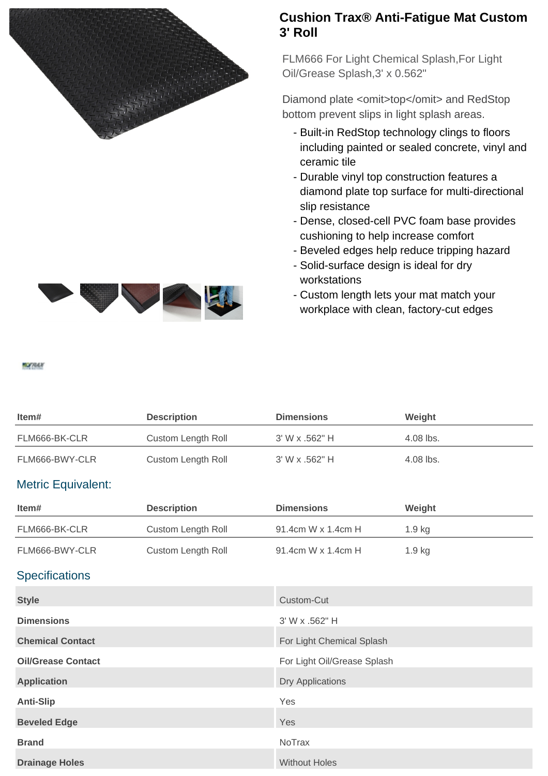

## **Cushion Trax® Anti-Fatigue Mat Custom 3' Roll**

FLM666 For Light Chemical Splash,For Light Oil/Grease Splash,3' x 0.562"

Diamond plate <omit>top</omit> and RedStop bottom prevent slips in light splash areas.

- Built-in RedStop technology clings to floors including painted or sealed concrete, vinyl and ceramic tile
- Durable vinyl top construction features a diamond plate top surface for multi-directional slip resistance
- Dense, closed-cell PVC foam base provides cushioning to help increase comfort
- Beveled edges help reduce tripping hazard
- Solid-surface design is ideal for dry workstations
- Custom length lets your mat match your workplace with clean, factory-cut edges

| ltem#          | <b>Description</b> | <b>Dimensions</b> | Weight    |
|----------------|--------------------|-------------------|-----------|
| FLM666-BK-CLR  | Custom Length Roll | 3' W x .562" H    | 4.08 lbs. |
| FLM666-BWY-CLR | Custom Length Roll | 3' W x .562" H    | 4.08 lbs. |

## Metric Equivalent:

**MOGRAH** 

| Item#                     | <b>Description</b>        | <b>Dimensions</b>           | Weight |
|---------------------------|---------------------------|-----------------------------|--------|
| FLM666-BK-CLR             | <b>Custom Length Roll</b> | 91.4cm W x 1.4cm H          | 1.9 kg |
| FLM666-BWY-CLR            | Custom Length Roll        | 91.4cm W x 1.4cm H          | 1.9 kg |
| <b>Specifications</b>     |                           |                             |        |
| <b>Style</b>              |                           | Custom-Cut                  |        |
| <b>Dimensions</b>         |                           | 3' W x .562" H              |        |
| <b>Chemical Contact</b>   |                           | For Light Chemical Splash   |        |
| <b>Oil/Grease Contact</b> |                           | For Light Oil/Grease Splash |        |
| <b>Application</b>        |                           | <b>Dry Applications</b>     |        |
| <b>Anti-Slip</b>          |                           | Yes                         |        |
| <b>Beveled Edge</b>       |                           | Yes                         |        |
| <b>Brand</b>              |                           | NoTrax                      |        |
| <b>Drainage Holes</b>     |                           | <b>Without Holes</b>        |        |